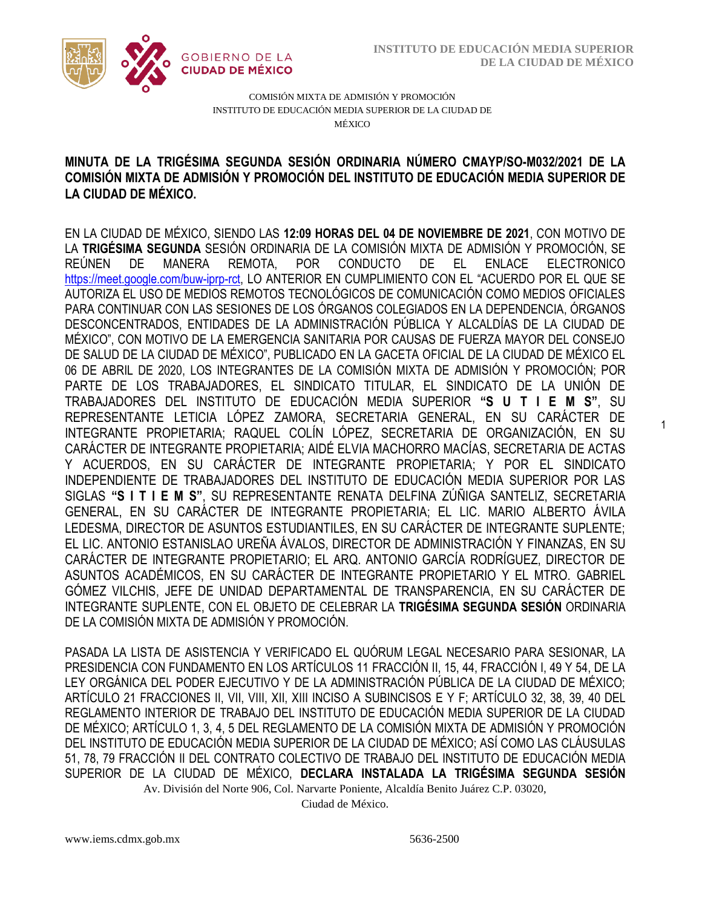1



COMISIÓN MIXTA DE ADMISIÓN Y PROMOCIÓN INSTITUTO DE EDUCACIÓN MEDIA SUPERIOR DE LA CIUDAD DE MÉXICO

# COMISIÓN MIXTA DE ADMISIÓN Y PROMOCIÓN DEL INSTITUTO DE EDUCACIÓN MEDIA SUPERIOR DE **MINUTA DE LA TRIGÉSIMA SEGUNDA SESIÓN ORDINARIA NÚMERO CMAYP/SO-M032/2021 DE LA LA CIUDAD DE MÉXICO.**

EN LA CIUDAD DE MÉXICO, SIENDO LAS **12:09 HORAS DEL 04 DE NOVIEMBRE DE 2021**, CON MOTIVO DE LA **TRIGÉSIMA SEGUNDA** SESIÓN ORDINARIA DE LA COMISIÓN MIXTA DE ADMISIÓN Y PROMOCIÓN, SE REÚNEN DE MANERA REMOTA, POR CONDUCTO DE EL ENLACE ELECTRONICO [https://meet.google.com/buw-iprp-rct,](https://meet.google.com/owz-zeir-) LO ANTERIOR EN CUMPLIMIENTO CON EL "ACUERDO POR EL QUE SE AUTORIZA EL USO DE MEDIOS REMOTOS TECNOLÓGICOS DE COMUNICACIÓN COMO MEDIOS OFICIALES PARA CONTINUAR CON LAS SESIONES DE LOS ÓRGANOS COLEGIADOS EN LA DEPENDENCIA, ÓRGANOS DESCONCENTRADOS, ENTIDADES DE LA ADMINISTRACIÓN PÚBLICA Y ALCALDÍAS DE LA CIUDAD DE MÉXICO", CON MOTIVO DE LA EMERGENCIA SANITARIA POR CAUSAS DE FUERZA MAYOR DEL CONSEJO DE SALUD DE LA CIUDAD DE MÉXICO", PUBLICADO EN LA GACETA OFICIAL DE LA CIUDAD DE MÉXICO EL 06 DE ABRIL DE 2020, LOS INTEGRANTES DE LA COMISIÓN MIXTA DE ADMISIÓN Y PROMOCIÓN; POR PARTE DE LOS TRABAJADORES, EL SINDICATO TITULAR, EL SINDICATO DE LA UNIÓN DE TRABAJADORES DEL INSTITUTO DE EDUCACIÓN MEDIA SUPERIOR **"S U T I E M S"**, SU REPRESENTANTE LETICIA LÓPEZ ZAMORA, SECRETARIA GENERAL, EN SU CARÁCTER DE INTEGRANTE PROPIETARIA; RAQUEL COLÍN LÓPEZ, SECRETARIA DE ORGANIZACIÓN, EN SU CARÁCTER DE INTEGRANTE PROPIETARIA; AIDÉ ELVIA MACHORRO MACÍAS, SECRETARIA DE ACTAS Y ACUERDOS, EN SU CARÁCTER DE INTEGRANTE PROPIETARIA; Y POR EL SINDICATO INDEPENDIENTE DE TRABAJADORES DEL INSTITUTO DE EDUCACIÓN MEDIA SUPERIOR POR LAS SIGLAS **"S I T I E M S"**, SU REPRESENTANTE RENATA DELFINA ZÚÑIGA SANTELIZ, SECRETARIA GENERAL, EN SU CARÁCTER DE INTEGRANTE PROPIETARIA; EL LIC. MARIO ALBERTO ÁVILA LEDESMA, DIRECTOR DE ASUNTOS ESTUDIANTILES, EN SU CARÁCTER DE INTEGRANTE SUPLENTE; EL LIC. ANTONIO ESTANISLAO UREÑA ÁVALOS, DIRECTOR DE ADMINISTRACIÓN Y FINANZAS, EN SU CARÁCTER DE INTEGRANTE PROPIETARIO; EL ARQ. ANTONIO GARCÍA RODRÍGUEZ, DIRECTOR DE ASUNTOS ACADÉMICOS, EN SU CARÁCTER DE INTEGRANTE PROPIETARIO Y EL MTRO. GABRIEL GÓMEZ VILCHIS, JEFE DE UNIDAD DEPARTAMENTAL DE TRANSPARENCIA, EN SU CARÁCTER DE INTEGRANTE SUPLENTE, CON EL OBJETO DE CELEBRAR LA **TRIGÉSIMA SEGUNDA SESIÓN** ORDINARIA DE LA COMISIÓN MIXTA DE ADMISIÓN Y PROMOCIÓN.

Av. División del Norte 906, Col. Narvarte Poniente, Alcaldía Benito Juárez C.P. 03020, PASADA LA LISTA DE ASISTENCIA Y VERIFICADO EL QUÓRUM LEGAL NECESARIO PARA SESIONAR, LA PRESIDENCIA CON FUNDAMENTO EN LOS ARTÍCULOS 11 FRACCIÓN II, 15, 44, FRACCIÓN I, 49 Y 54, DE LA LEY ORGÁNICA DEL PODER EJECUTIVO Y DE LA ADMINISTRACIÓN PÚBLICA DE LA CIUDAD DE MÉXICO; ARTÍCULO 21 FRACCIONES II, VII, VIII, XII, XIII INCISO A SUBINCISOS E Y F; ARTÍCULO 32, 38, 39, 40 DEL REGLAMENTO INTERIOR DE TRABAJO DEL INSTITUTO DE EDUCACIÓN MEDIA SUPERIOR DE LA CIUDAD DE MÉXICO; ARTÍCULO 1, 3, 4, 5 DEL REGLAMENTO DE LA COMISIÓN MIXTA DE ADMISIÓN Y PROMOCIÓN DEL INSTITUTO DE EDUCACIÓN MEDIA SUPERIOR DE LA CIUDAD DE MÉXICO; ASÍ COMO LAS CLÁUSULAS 51, 78, 79 FRACCIÓN II DEL CONTRATO COLECTIVO DE TRABAJO DEL INSTITUTO DE EDUCACIÓN MEDIA SUPERIOR DE LA CIUDAD DE MÉXICO, **DECLARA INSTALADA LA TRIGÉSIMA SEGUNDA SESIÓN** 

Ciudad de México.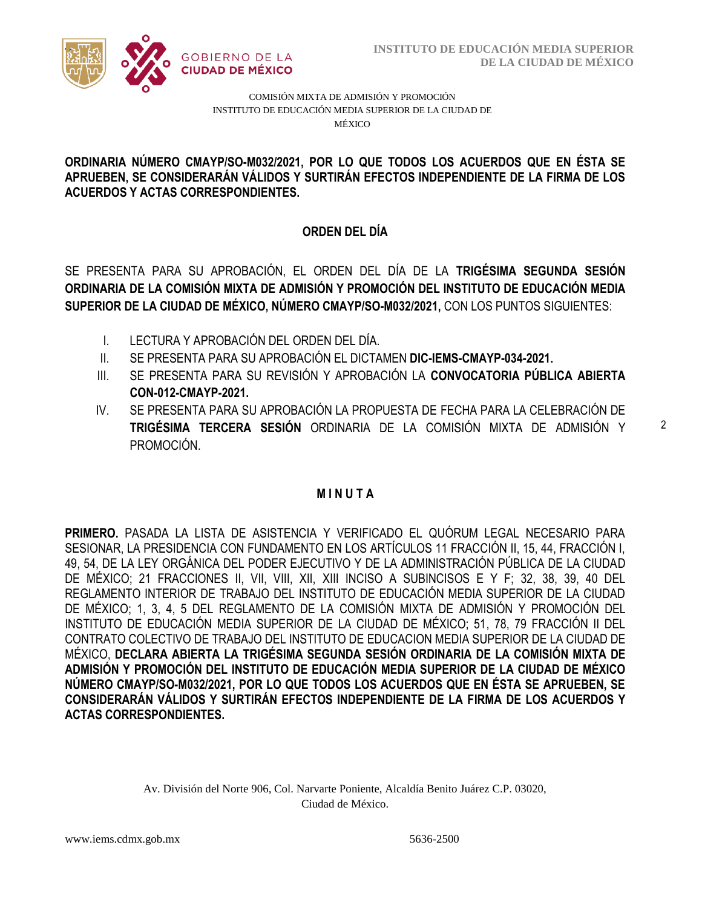

COMISIÓN MIXTA DE ADMISIÓN Y PROMOCIÓN INSTITUTO DE EDUCACIÓN MEDIA SUPERIOR DE LA CIUDAD DE MÉXICO

#### APRUEBEN, SE CONSIDERARÁN VÁLIDOS Y SURTIRÁN EFECTOS INDEPENDIENTE DE LA FIRMA DE LOS  **ORDINARIA NÚMERO CMAYP/SO-M032/2021, POR LO QUE TODOS LOS ACUERDOS QUE EN ÉSTA SE ACUERDOS Y ACTAS CORRESPONDIENTES.**

# **ORDEN DEL DÍA**

SE PRESENTA PARA SU APROBACIÓN, EL ORDEN DEL DÍA DE LA **TRIGÉSIMA SEGUNDA SESIÓN ORDINARIA DE LA COMISIÓN MIXTA DE ADMISIÓN Y PROMOCIÓN DEL INSTITUTO DE EDUCACIÓN MEDIA SUPERIOR DE LA CIUDAD DE MÉXICO, NÚMERO CMAYP/SO-M032/2021,** CON LOS PUNTOS SIGUIENTES:

- I. LECTURA Y APROBACIÓN DEL ORDEN DEL DÍA.
- II. SE PRESENTA PARA SU APROBACIÓN EL DICTAMEN **DIC-IEMS-CMAYP-034-2021.**
- III. SE PRESENTA PARA SU REVISIÓN Y APROBACIÓN LA **CONVOCATORIA PÚBLICA ABIERTA CON-012-CMAYP-2021.**
- IV. SE PRESENTA PARA SU APROBACIÓN LA PROPUESTA DE FECHA PARA LA CELEBRACIÓN DE **TRIGÉSIMA TERCERA SESIÓN** ORDINARIA DE LA COMISIÓN MIXTA DE ADMISIÓN Y PROMOCIÓN.

# **M I N U T A**

**PRIMERO.** PASADA LA LISTA DE ASISTENCIA Y VERIFICADO EL QUÓRUM LEGAL NECESARIO PARA SESIONAR, LA PRESIDENCIA CON FUNDAMENTO EN LOS ARTÍCULOS 11 FRACCIÓN II, 15, 44, FRACCIÓN I, 49, 54, DE LA LEY ORGÁNICA DEL PODER EJECUTIVO Y DE LA ADMINISTRACIÓN PÚBLICA DE LA CIUDAD DE MÉXICO; 21 FRACCIONES II, VII, VIII, XII, XIII INCISO A SUBINCISOS E Y F; 32, 38, 39, 40 DEL REGLAMENTO INTERIOR DE TRABAJO DEL INSTITUTO DE EDUCACIÓN MEDIA SUPERIOR DE LA CIUDAD DE MÉXICO; 1, 3, 4, 5 DEL REGLAMENTO DE LA COMISIÓN MIXTA DE ADMISIÓN Y PROMOCIÓN DEL INSTITUTO DE EDUCACIÓN MEDIA SUPERIOR DE LA CIUDAD DE MÉXICO; 51, 78, 79 FRACCIÓN II DEL CONTRATO COLECTIVO DE TRABAJO DEL INSTITUTO DE EDUCACION MEDIA SUPERIOR DE LA CIUDAD DE MÉXICO, **DECLARA ABIERTA LA TRIGÉSIMA SEGUNDA SESIÓN ORDINARIA DE LA COMISIÓN MIXTA DE ADMISIÓN Y PROMOCIÓN DEL INSTITUTO DE EDUCACIÓN MEDIA SUPERIOR DE LA CIUDAD DE MÉXICO NÚMERO CMAYP/SO-M032/2021, POR LO QUE TODOS LOS ACUERDOS QUE EN ÉSTA SE APRUEBEN, SE CONSIDERARÁN VÁLIDOS Y SURTIRÁN EFECTOS INDEPENDIENTE DE LA FIRMA DE LOS ACUERDOS Y ACTAS CORRESPONDIENTES.**

> Av. División del Norte 906, Col. Narvarte Poniente, Alcaldía Benito Juárez C.P. 03020, Ciudad de México.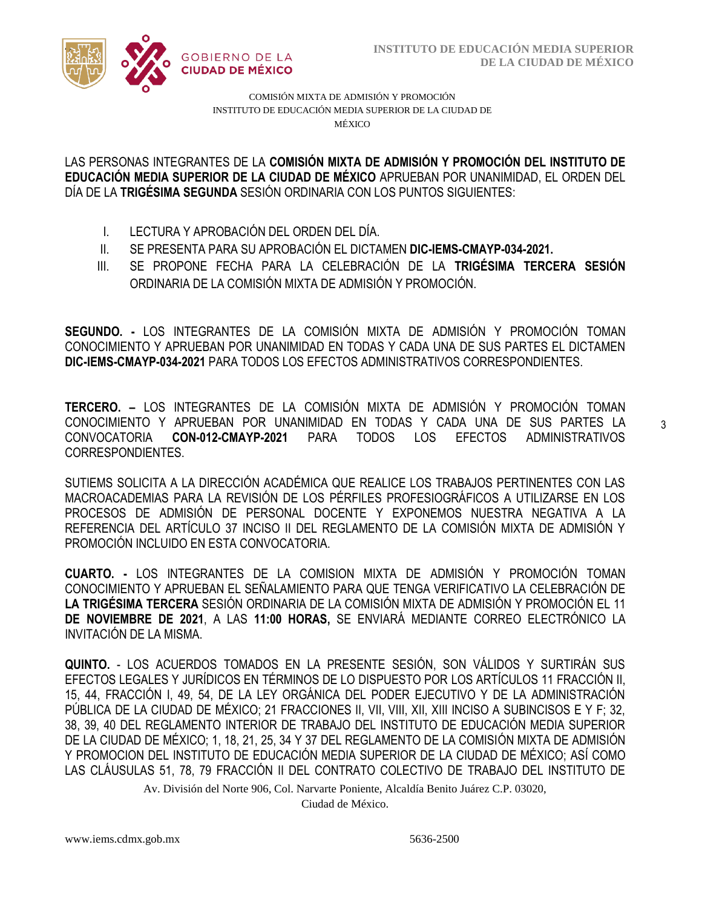

COMISIÓN MIXTA DE ADMISIÓN Y PROMOCIÓN INSTITUTO DE EDUCACIÓN MEDIA SUPERIOR DE LA CIUDAD DE MÉXICO

/2020 **EDUCACIÓN MEDIA SUPERIOR DE LA CIUDAD DE MÉXICO** APRUEBAN POR UNANIMIDAD, EL ORDEN DEL  LAS PERSONAS INTEGRANTES DE LA **COMISIÓN MIXTA DE ADMISIÓN Y PROMOCIÓN DEL INSTITUTO DE**  DÍA DE LA **TRIGÉSIMA SEGUNDA** SESIÓN ORDINARIA CON LOS PUNTOS SIGUIENTES:

- I. LECTURA Y APROBACIÓN DEL ORDEN DEL DÍA.
- II. SE PRESENTA PARA SU APROBACIÓN EL DICTAMEN **DIC-IEMS-CMAYP-034-2021.**
- III. SE PROPONE FECHA PARA LA CELEBRACIÓN DE LA **TRIGÉSIMA TERCERA SESIÓN** ORDINARIA DE LA COMISIÓN MIXTA DE ADMISIÓN Y PROMOCIÓN.

**SEGUNDO. -** LOS INTEGRANTES DE LA COMISIÓN MIXTA DE ADMISIÓN Y PROMOCIÓN TOMAN CONOCIMIENTO Y APRUEBAN POR UNANIMIDAD EN TODAS Y CADA UNA DE SUS PARTES EL DICTAMEN **DIC-IEMS-CMAYP-034-2021** PARA TODOS LOS EFECTOS ADMINISTRATIVOS CORRESPONDIENTES.

**TERCERO. –** LOS INTEGRANTES DE LA COMISIÓN MIXTA DE ADMISIÓN Y PROMOCIÓN TOMAN CONOCIMIENTO Y APRUEBAN POR UNANIMIDAD EN TODAS Y CADA UNA DE SUS PARTES LA CONVOCATORIA **CON-012-CMAYP-2021** PARA TODOS LOS EFECTOS ADMINISTRATIVOS CORRESPONDIENTES.

SUTIEMS SOLICITA A LA DIRECCIÓN ACADÉMICA QUE REALICE LOS TRABAJOS PERTINENTES CON LAS MACROACADEMIAS PARA LA REVISIÓN DE LOS PÉRFILES PROFESIOGRÁFICOS A UTILIZARSE EN LOS PROCESOS DE ADMISIÓN DE PERSONAL DOCENTE Y EXPONEMOS NUESTRA NEGATIVA A LA REFERENCIA DEL ARTÍCULO 37 INCISO II DEL REGLAMENTO DE LA COMISIÓN MIXTA DE ADMISIÓN Y PROMOCIÓN INCLUIDO EN ESTA CONVOCATORIA.

**CUARTO. -** LOS INTEGRANTES DE LA COMISION MIXTA DE ADMISIÓN Y PROMOCIÓN TOMAN CONOCIMIENTO Y APRUEBAN EL SEÑALAMIENTO PARA QUE TENGA VERIFICATIVO LA CELEBRACIÓN DE **LA TRIGÉSIMA TERCERA** SESIÓN ORDINARIA DE LA COMISIÓN MIXTA DE ADMISIÓN Y PROMOCIÓN EL 11 **DE NOVIEMBRE DE 2021**, A LAS **11:00 HORAS,** SE ENVIARÁ MEDIANTE CORREO ELECTRÓNICO LA INVITACIÓN DE LA MISMA.

**QUINTO.** - LOS ACUERDOS TOMADOS EN LA PRESENTE SESIÓN, SON VÁLIDOS Y SURTIRÁN SUS EFECTOS LEGALES Y JURÍDICOS EN TÉRMINOS DE LO DISPUESTO POR LOS ARTÍCULOS 11 FRACCIÓN II, 15, 44, FRACCIÓN I, 49, 54, DE LA LEY ORGÁNICA DEL PODER EJECUTIVO Y DE LA ADMINISTRACIÓN PÚBLICA DE LA CIUDAD DE MÉXICO; 21 FRACCIONES II, VII, VIII, XII, XIII INCISO A SUBINCISOS E Y F; 32, 38, 39, 40 DEL REGLAMENTO INTERIOR DE TRABAJO DEL INSTITUTO DE EDUCACIÓN MEDIA SUPERIOR DE LA CIUDAD DE MÉXICO; 1, 18, 21, 25, 34 Y 37 DEL REGLAMENTO DE LA COMISIÓN MIXTA DE ADMISIÓN Y PROMOCION DEL INSTITUTO DE EDUCACIÓN MEDIA SUPERIOR DE LA CIUDAD DE MÉXICO; ASÍ COMO LAS CLÁUSULAS 51, 78, 79 FRACCIÓN II DEL CONTRATO COLECTIVO DE TRABAJO DEL INSTITUTO DE

Av. División del Norte 906, Col. Narvarte Poniente, Alcaldía Benito Juárez C.P. 03020,

Ciudad de México.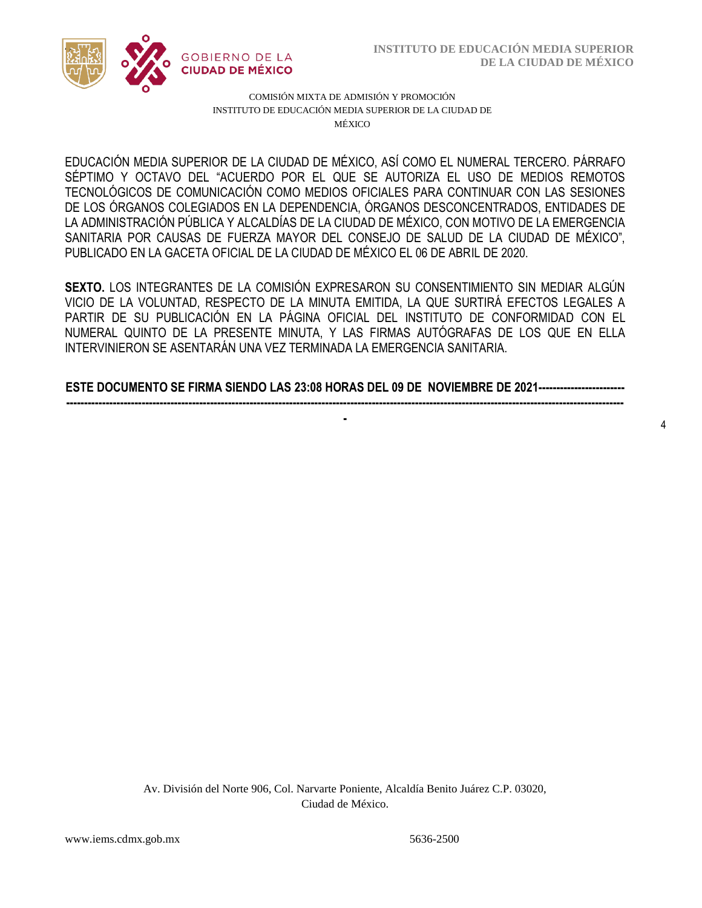4



COMISIÓN MIXTA DE ADMISIÓN Y PROMOCIÓN INSTITUTO DE EDUCACIÓN MEDIA SUPERIOR DE LA CIUDAD DE MÉXICO

SÉPTIMO Y OCTAVO DEL "ACUERDO POR EL QUE SE AUTORIZA EL USO DE MEDIOS REMOTOS  DE LOS ÓRGANOS COLEGIADOS EN LA DEPENDENCIA, ÓRGANOS DESCONCENTRADOS, ENTIDADES DE EDUCACIÓN MEDIA SUPERIOR DE LA CIUDAD DE MÉXICO, ASÍ COMO EL NUMERAL TERCERO. PÁRRAFO TECNOLÓGICOS DE COMUNICACIÓN COMO MEDIOS OFICIALES PARA CONTINUAR CON LAS SESIONES LA ADMINISTRACIÓN PÚBLICA Y ALCALDÍAS DE LA CIUDAD DE MÉXICO, CON MOTIVO DE LA EMERGENCIA SANITARIA POR CAUSAS DE FUERZA MAYOR DEL CONSEJO DE SALUD DE LA CIUDAD DE MÉXICO", PUBLICADO EN LA GACETA OFICIAL DE LA CIUDAD DE MÉXICO EL 06 DE ABRIL DE 2020.

**SEXTO.** LOS INTEGRANTES DE LA COMISIÓN EXPRESARON SU CONSENTIMIENTO SIN MEDIAR ALGÚN VICIO DE LA VOLUNTAD, RESPECTO DE LA MINUTA EMITIDA, LA QUE SURTIRÁ EFECTOS LEGALES A PARTIR DE SU PUBLICACIÓN EN LA PÁGINA OFICIAL DEL INSTITUTO DE CONFORMIDAD CON EL NUMERAL QUINTO DE LA PRESENTE MINUTA, Y LAS FIRMAS AUTÓGRAFAS DE LOS QUE EN ELLA INTERVINIERON SE ASENTARÁN UNA VEZ TERMINADA LA EMERGENCIA SANITARIA.

**ESTE DOCUMENTO SE FIRMA SIENDO LAS 23:08 HORAS DEL 09 DE NOVIEMBRE DE 2021------------------------ -----------------------------------------------------------------------------------------------------------------------------------------------------------**

**-**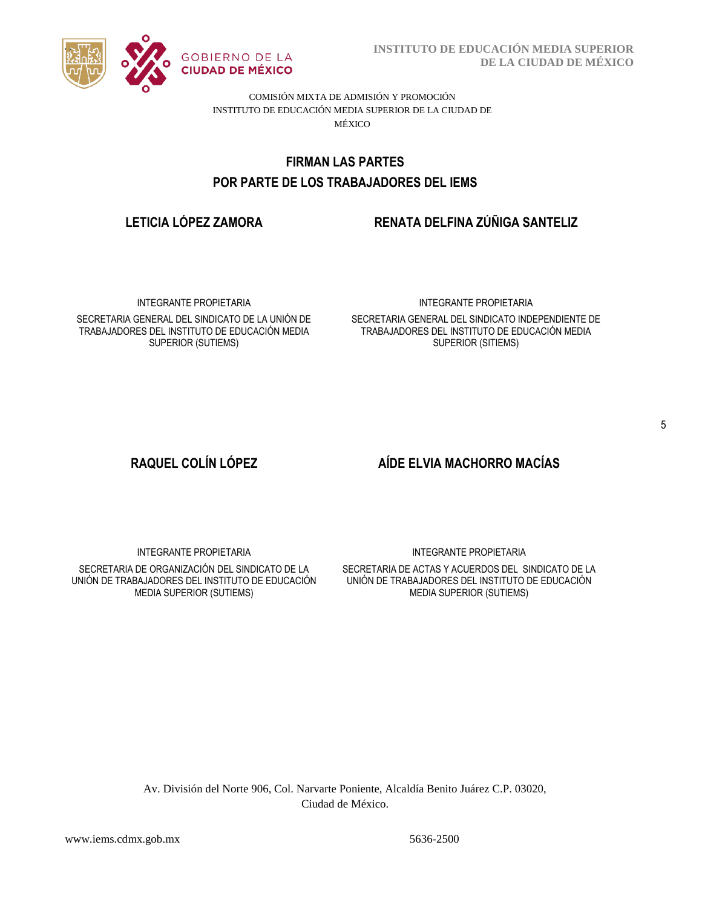

**INSTITUTO DE EDUCACIÓN MEDIA SUPERIOR DE LA CIUDAD DE MÉXICO**

COMISIÓN MIXTA DE ADMISIÓN Y PROMOCIÓN INSTITUTO DE EDUCACIÓN MEDIA SUPERIOR DE LA CIUDAD DE MÉXICO

# POR PARTE DE LOS TRABAJADORES DEL IEMS **FIRMAN LAS PARTES**

# **LETICIA LÓPEZ ZAMORA RENATA DELFINA ZÚÑIGA SANTELIZ**

INTEGRANTE PROPIETARIA

SECRETARIA GENERAL DEL SINDICATO DE LA UNIÓN DE TRABAJADORES DEL INSTITUTO DE EDUCACIÓN MEDIA SUPERIOR (SUTIEMS)

### INTEGRANTE PROPIETARIA

SECRETARIA GENERAL DEL SINDICATO INDEPENDIENTE DE TRABAJADORES DEL INSTITUTO DE EDUCACIÓN MEDIA SUPERIOR (SITIEMS)

# **RAQUEL COLÍN LÓPEZ AÍDE ELVIA MACHORRO MACÍAS**

INTEGRANTE PROPIETARIA

SECRETARIA DE ORGANIZACIÓN DEL SINDICATO DE LA UNIÓN DE TRABAJADORES DEL INSTITUTO DE EDUCACIÓN MEDIA SUPERIOR (SUTIEMS)

INTEGRANTE PROPIETARIA

SECRETARIA DE ACTAS Y ACUERDOS DEL SINDICATO DE LA UNIÓN DE TRABAJADORES DEL INSTITUTO DE EDUCACIÓN MEDIA SUPERIOR (SUTIEMS)

Av. División del Norte 906, Col. Narvarte Poniente, Alcaldía Benito Juárez C.P. 03020, Ciudad de México.